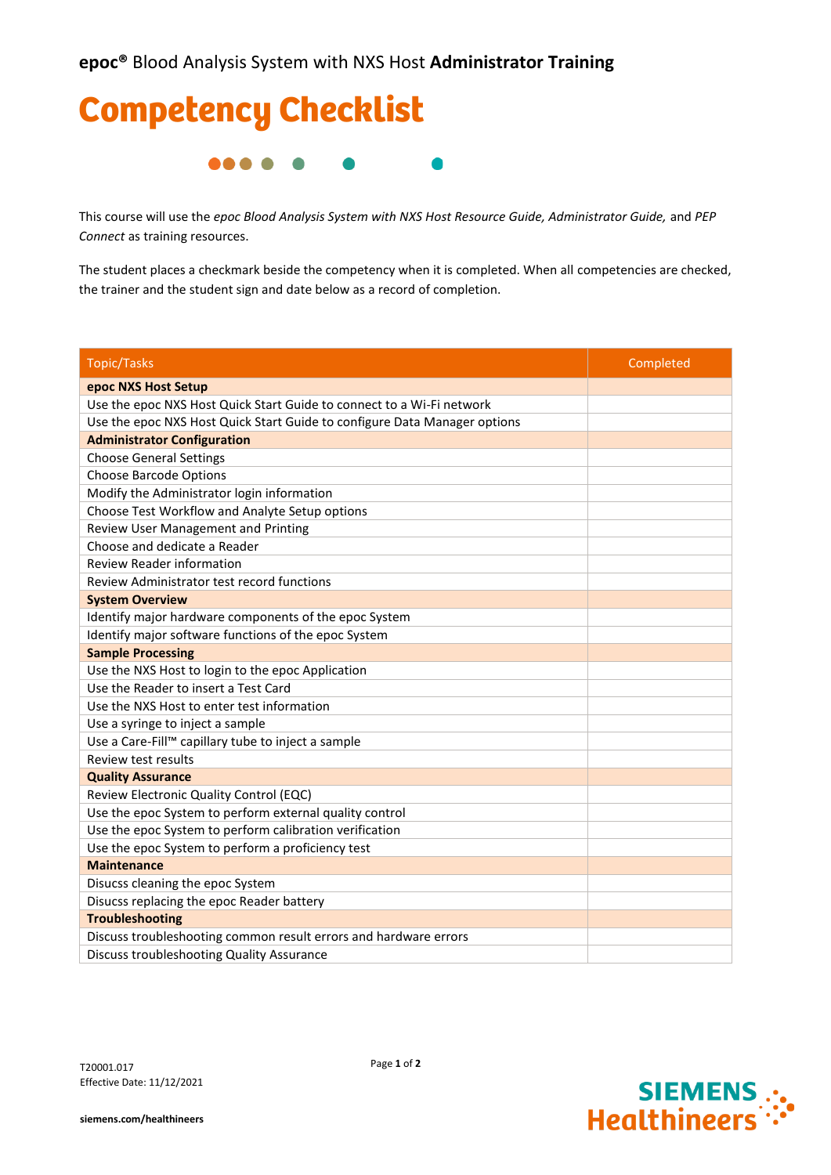## Competency Checklist **....**  $\blacksquare$

This course will use the *epoc Blood Analysis System with NXS Host Resource Guide, Administrator Guide,* and *PEP Connect* as training resources.

The student places a checkmark beside the competency when it is completed. When all competencies are checked, the trainer and the student sign and date below as a record of completion.

| <b>Topic/Tasks</b>                                                        | Completed |
|---------------------------------------------------------------------------|-----------|
| epoc NXS Host Setup                                                       |           |
| Use the epoc NXS Host Quick Start Guide to connect to a Wi-Fi network     |           |
| Use the epoc NXS Host Quick Start Guide to configure Data Manager options |           |
| <b>Administrator Configuration</b>                                        |           |
| <b>Choose General Settings</b>                                            |           |
| <b>Choose Barcode Options</b>                                             |           |
| Modify the Administrator login information                                |           |
| Choose Test Workflow and Analyte Setup options                            |           |
| Review User Management and Printing                                       |           |
| Choose and dedicate a Reader                                              |           |
| <b>Review Reader information</b>                                          |           |
| Review Administrator test record functions                                |           |
| <b>System Overview</b>                                                    |           |
| Identify major hardware components of the epoc System                     |           |
| Identify major software functions of the epoc System                      |           |
| <b>Sample Processing</b>                                                  |           |
| Use the NXS Host to login to the epoc Application                         |           |
| Use the Reader to insert a Test Card                                      |           |
| Use the NXS Host to enter test information                                |           |
| Use a syringe to inject a sample                                          |           |
| Use a Care-Fill™ capillary tube to inject a sample                        |           |
| Review test results                                                       |           |
| <b>Quality Assurance</b>                                                  |           |
| Review Electronic Quality Control (EQC)                                   |           |
| Use the epoc System to perform external quality control                   |           |
| Use the epoc System to perform calibration verification                   |           |
| Use the epoc System to perform a proficiency test                         |           |
| <b>Maintenance</b>                                                        |           |
| Disucss cleaning the epoc System                                          |           |
| Disucss replacing the epoc Reader battery                                 |           |
| <b>Troubleshooting</b>                                                    |           |
| Discuss troubleshooting common result errors and hardware errors          |           |
| Discuss troubleshooting Quality Assurance                                 |           |